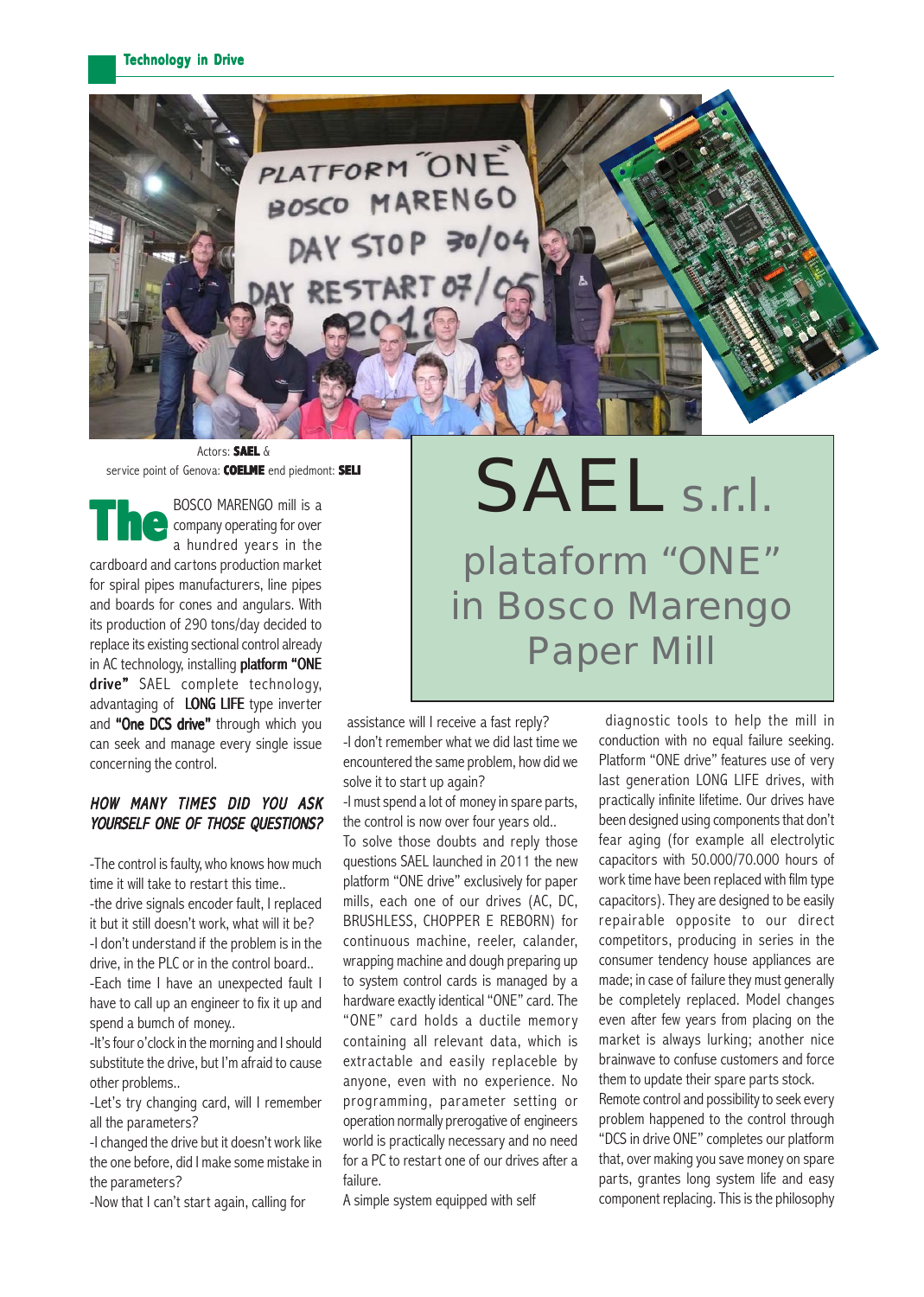

Actors: **SAEL** & service point of Genova: **COELME** end piedmont: **SELI**

BOSCO MARENGO mill is a company operating for over a hundred years in the **The** cardboard and cartons production market for spiral pipes manufacturers, line pipes and boards for cones and angulars. With its production of 290 tons/day decided to replace its existing sectional control already in AC technology, installing platform "ONE drive" SAEL complete technology, advantaging of LONG LIFE type inverter and "One DCS drive" through which you can seek and manage every single issue concerning the control.

## HOW MANY TIMES DID YOU ASK YOURSELF ONE OF THOSE QUESTIONS?

-The control is faulty, who knows how much time it will take to restart this time.. -the drive signals encoder fault, I replaced it but it still doesn't work, what will it be? -I don't understand if the problem is in the drive, in the PLC or in the control board.. -Each time I have an unexpected fault I have to call up an engineer to fix it up and spend a bumch of money..

-It's four o'clock in the morning and I should substitute the drive, but I'm afraid to cause other problems..

-Let's try changing card, will I remember all the parameters?

-I changed the drive but it doesn't work like the one before, did I make some mistake in the parameters?

-Now that I can't start again, calling for

## plataform "ONE" in Bosco Marengo Paper Mill SAEL<sub>s.r.l.</sub>

 assistance will I receive a fast reply? -I don't remember what we did last time we encountered the same problem, how did we solve it to start up again?

-I must spend a lot of money in spare parts, the control is now over four years old..

To solve those doubts and reply those questions SAEL launched in 2011 the new platform "ONE drive" exclusively for paper mills, each one of our drives (AC, DC, BRUSHLESS, CHOPPER E REBORN) for continuous machine, reeler, calander, wrapping machine and dough preparing up to system control cards is managed by a hardware exactly identical "ONE" card. The "ONE" card holds a ductile memory containing all relevant data, which is extractable and easily replaceble by anyone, even with no experience. No programming, parameter setting or operation normally prerogative of engineers world is practically necessary and no need for a PC to restart one of our drives after a failure.

A simple system equipped with self

 diagnostic tools to help the mill in conduction with no equal failure seeking. Platform "ONE drive" features use of very last generation LONG LIFE drives, with practically infinite lifetime. Our drives have been designed using components that don't fear aging (for example all electrolytic capacitors with 50.000/70.000 hours of work time have been replaced with film type capacitors). They are designed to be easily repairable opposite to our direct competitors, producing in series in the consumer tendency house appliances are made; in case of failure they must generally be completely replaced. Model changes even after few years from placing on the market is always lurking; another nice brainwave to confuse customers and force them to update their spare parts stock.

Remote control and possibility to seek every problem happened to the control through "DCS in drive ONE" completes our platform that, over making you save money on spare parts, grantes long system life and easy component replacing. This is the philosophy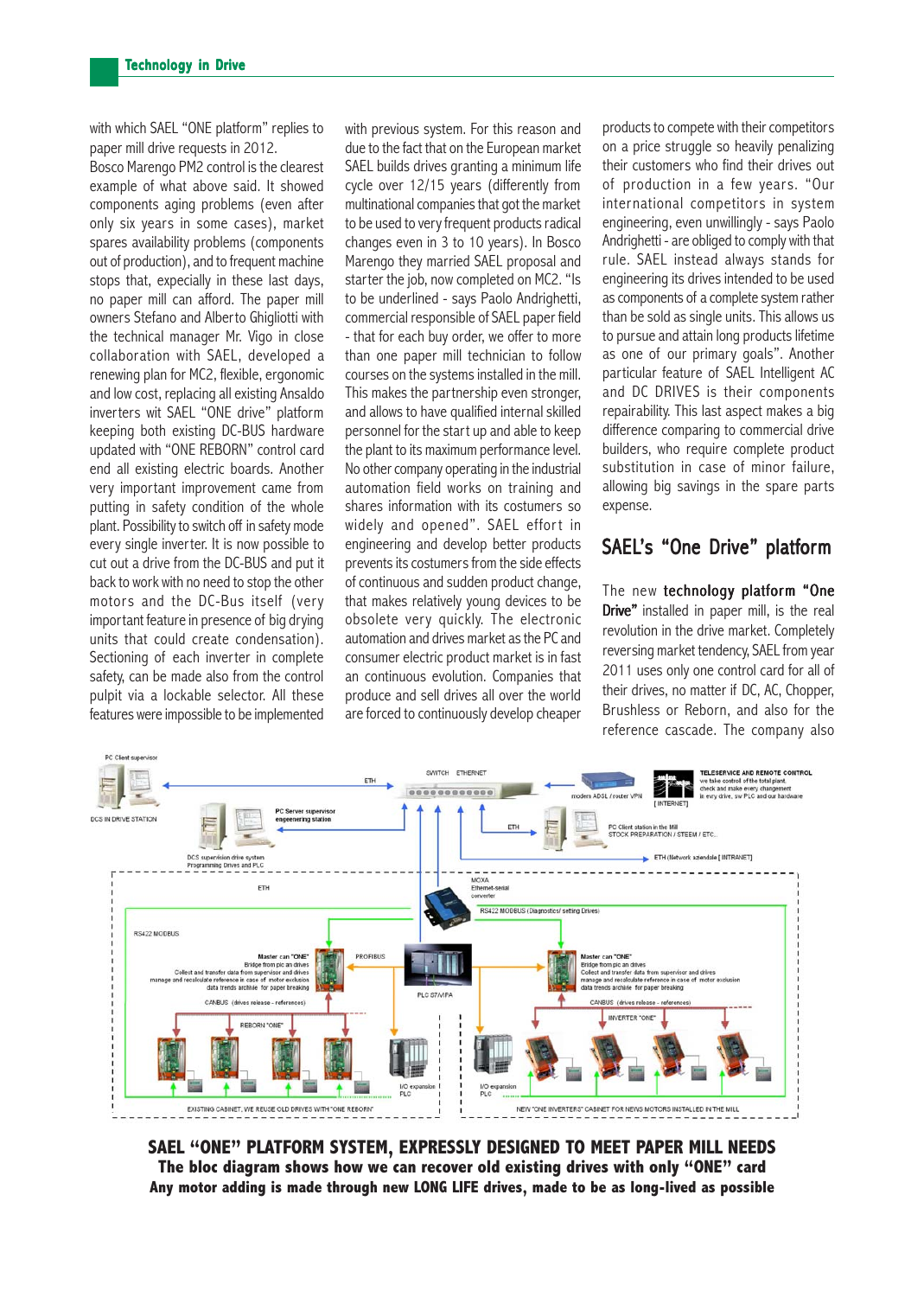with which SAEL "ONE platform" replies to paper mill drive requests in 2012.

Bosco Marengo PM2 control is the clearest example of what above said. It showed components aging problems (even after only six years in some cases), market spares availability problems (components out of production), and to frequent machine stops that, expecially in these last days, no paper mill can afford. The paper mill owners Stefano and Alberto Ghigliotti with the technical manager Mr. Vigo in close collaboration with SAEL, developed a renewing plan for MC2, flexible, ergonomic and low cost, replacing all existing Ansaldo inverters wit SAEL "ONE drive" platform keeping both existing DC-BUS hardware updated with "ONE REBORN" control card end all existing electric boards. Another very important improvement came from putting in safety condition of the whole plant. Possibility to switch off in safety mode every single inverter. It is now possible to cut out a drive from the DC-BUS and put it back to work with no need to stop the other motors and the DC-Bus itself (very important feature in presence of big drying units that could create condensation). Sectioning of each inverter in complete safety, can be made also from the control pulpit via a lockable selector. All these features were impossible to be implemented with previous system. For this reason and due to the fact that on the European market SAEL builds drives granting a minimum life cycle over 12/15 years (differently from multinational companies that got the market to be used to very frequent products radical changes even in 3 to 10 years). In Bosco Marengo they married SAEL proposal and starter the job, now completed on MC2. "Is to be underlined - says Paolo Andrighetti, commercial responsible of SAEL paper field - that for each buy order, we offer to more than one paper mill technician to follow courses on the systems installed in the mill. This makes the partnership even stronger, and allows to have qualified internal skilled personnel for the start up and able to keep the plant to its maximum performance level. No other company operating in the industrial automation field works on training and shares information with its costumers so widely and opened". SAEL effort in engineering and develop better products prevents its costumers from the side effects of continuous and sudden product change, that makes relatively young devices to be obsolete very quickly. The electronic automation and drives market as the PC and consumer electric product market is in fast an continuous evolution. Companies that produce and sell drives all over the world are forced to continuously develop cheaper

products to compete with their competitors on a price struggle so heavily penalizing their customers who find their drives out of production in a few years. "Our international competitors in system engineering, even unwillingly - says Paolo Andrighetti - are obliged to comply with that rule. SAEL instead always stands for engineering its drives intended to be used as components of a complete system rather than be sold as single units. This allows us to pursue and attain long products lifetime as one of our primary goals". Another particular feature of SAEL Intelligent AC and DC DRIVES is their components repairability. This last aspect makes a big difference comparing to commercial drive builders, who require complete product substitution in case of minor failure, allowing big savings in the spare parts expense.

## SAEL's "One Drive" platform

The new technology platform "One Drive" installed in paper mill, is the real revolution in the drive market. Completely reversing market tendency, SAEL from year 2011 uses only one control card for all of their drives, no matter if DC, AC, Chopper, Brushless or Reborn, and also for the reference cascade. The company also



**SAEL "ONE" PLATFORM SYSTEM, EXPRESSLY DESIGNED TO MEET PAPER MILL NEEDS The bloc diagram shows how we can recover old existing drives with only "ONE" card Any motor adding is made through new LONG LIFE drives, made to be as long-lived as possible**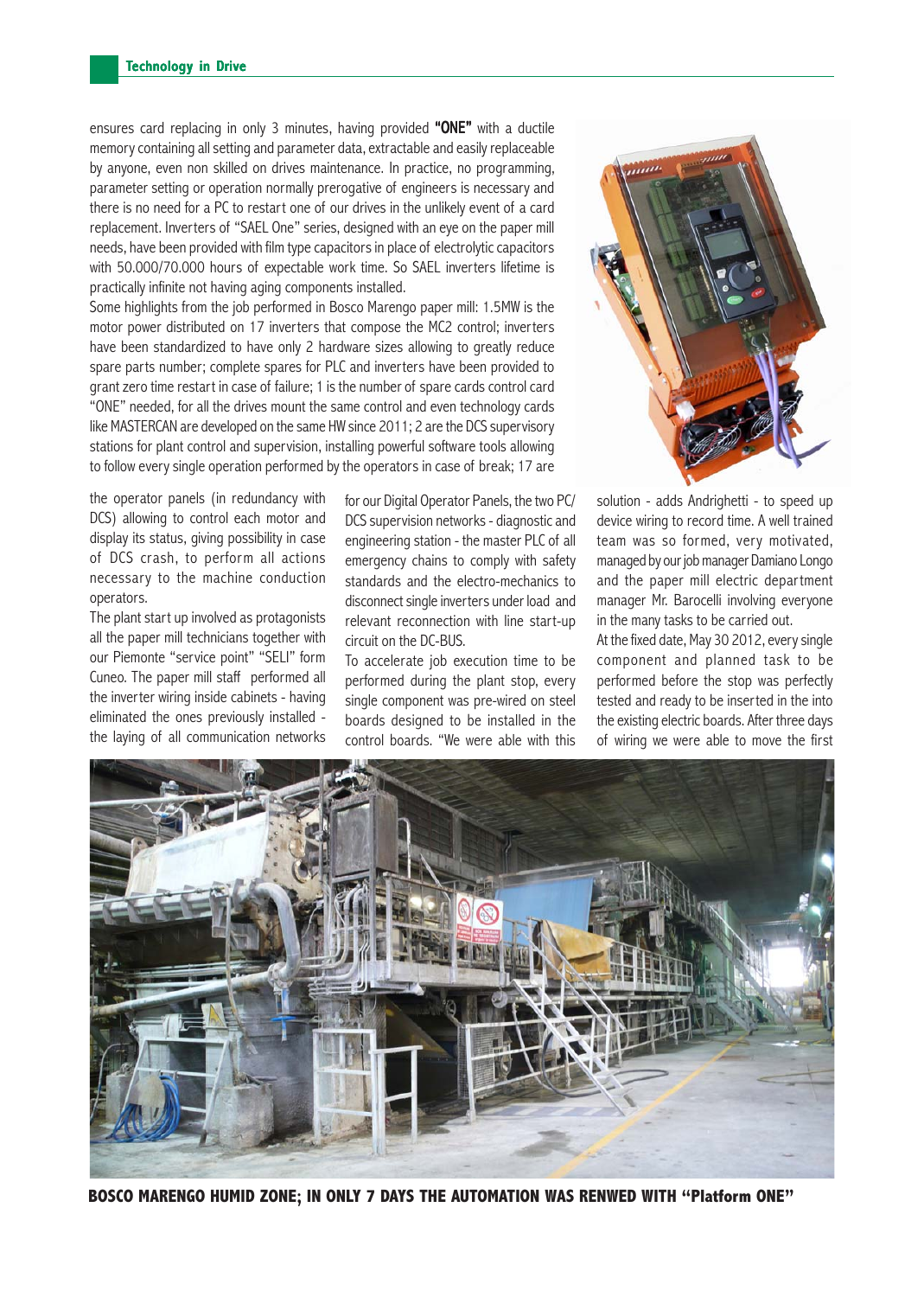ensures card replacing in only 3 minutes, having provided "ONE" with a ductile memory containing all setting and parameter data, extractable and easily replaceable by anyone, even non skilled on drives maintenance. In practice, no programming, parameter setting or operation normally prerogative of engineers is necessary and there is no need for a PC to restart one of our drives in the unlikely event of a card replacement. Inverters of "SAEL One" series, designed with an eye on the paper mill needs, have been provided with film type capacitors in place of electrolytic capacitors with 50.000/70.000 hours of expectable work time. So SAEL inverters lifetime is practically infinite not having aging components installed.

Some highlights from the job performed in Bosco Marengo paper mill: 1.5MW is the motor power distributed on 17 inverters that compose the MC2 control; inverters have been standardized to have only 2 hardware sizes allowing to greatly reduce spare parts number; complete spares for PLC and inverters have been provided to grant zero time restart in case of failure; 1 is the number of spare cards control card "ONE" needed, for all the drives mount the same control and even technology cards like MASTERCAN are developed on the same HW since 2011; 2 are the DCS supervisory stations for plant control and supervision, installing powerful software tools allowing to follow every single operation performed by the operators in case of break; 17 are

the operator panels (in redundancy with DCS) allowing to control each motor and display its status, giving possibility in case of DCS crash, to perform all actions necessary to the machine conduction operators.

The plant start up involved as protagonists all the paper mill technicians together with our Piemonte "service point" "SELI" form Cuneo. The paper mill staff performed all the inverter wiring inside cabinets - having eliminated the ones previously installed the laying of all communication networks

for our Digital Operator Panels, the two PC/ DCS supervision networks - diagnostic and engineering station - the master PLC of all emergency chains to comply with safety standards and the electro-mechanics to disconnect single inverters under load and relevant reconnection with line start-up circuit on the DC-BUS.

To accelerate job execution time to be performed during the plant stop, every single component was pre-wired on steel boards designed to be installed in the control boards. "We were able with this



solution - adds Andrighetti - to speed up device wiring to record time. A well trained team was so formed, very motivated, managed by our job manager Damiano Longo and the paper mill electric department manager Mr. Barocelli involving everyone in the many tasks to be carried out.

At the fixed date, May 30 2012, every single component and planned task to be performed before the stop was perfectly tested and ready to be inserted in the into the existing electric boards. After three days of wiring we were able to move the first



**BOSCO MARENGO HUMID ZONE; IN ONLY 7 DAYS THE AUTOMATION WAS RENWED WITH "Platform ONE"**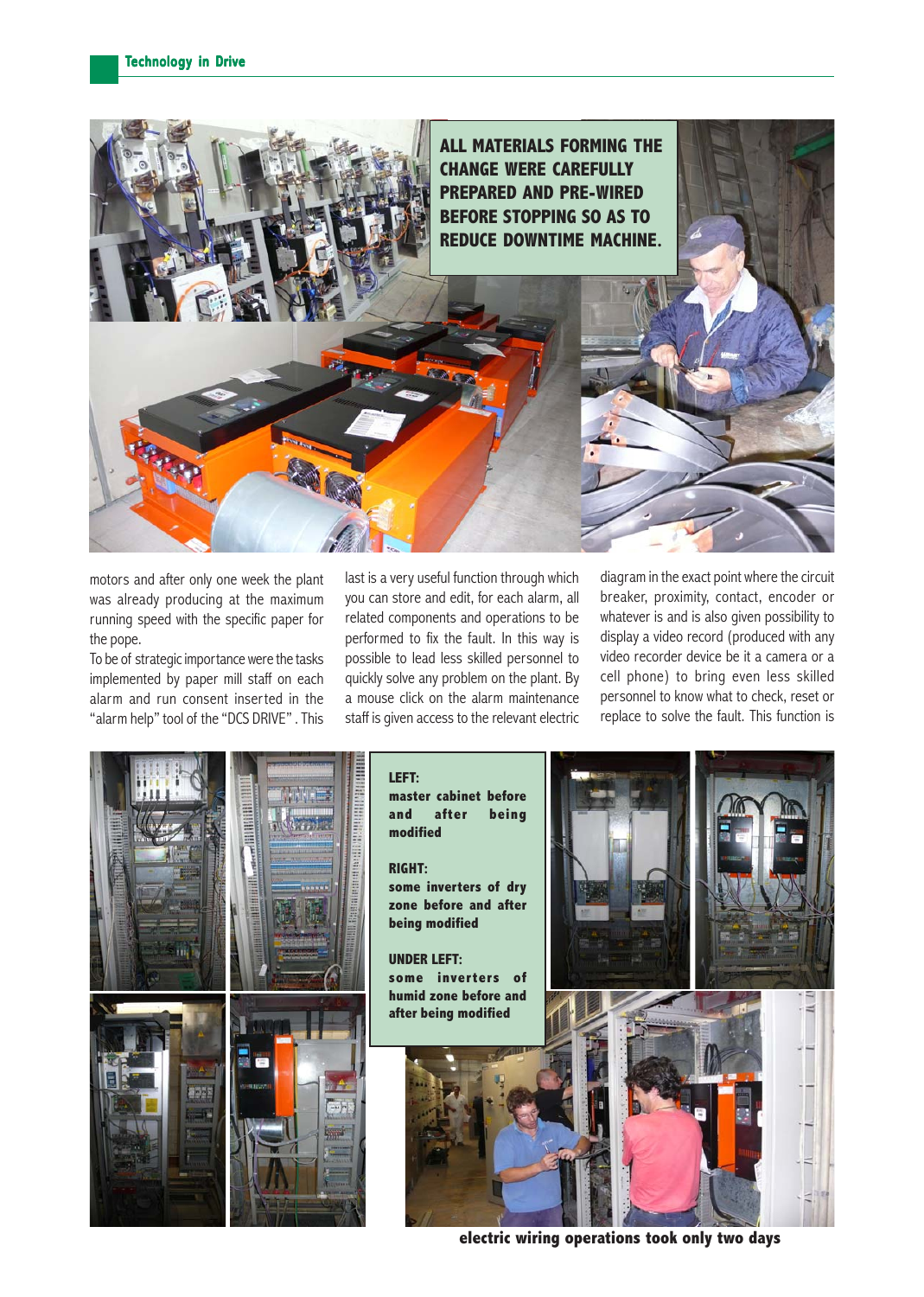

motors and after only one week the plant was already producing at the maximum running speed with the specific paper for the pope.

To be of strategic importance were the tasks implemented by paper mill staff on each alarm and run consent inserted in the "alarm help" tool of the "DCS DRIVE" . This last is a very useful function through which you can store and edit, for each alarm, all related components and operations to be performed to fix the fault. In this way is possible to lead less skilled personnel to quickly solve any problem on the plant. By a mouse click on the alarm maintenance staff is given access to the relevant electric diagram in the exact point where the circuit breaker, proximity, contact, encoder or whatever is and is also given possibility to display a video record (produced with any video recorder device be it a camera or a cell phone) to bring even less skilled personnel to know what to check, reset or replace to solve the fault. This function is



**electric wiring operations took only two days**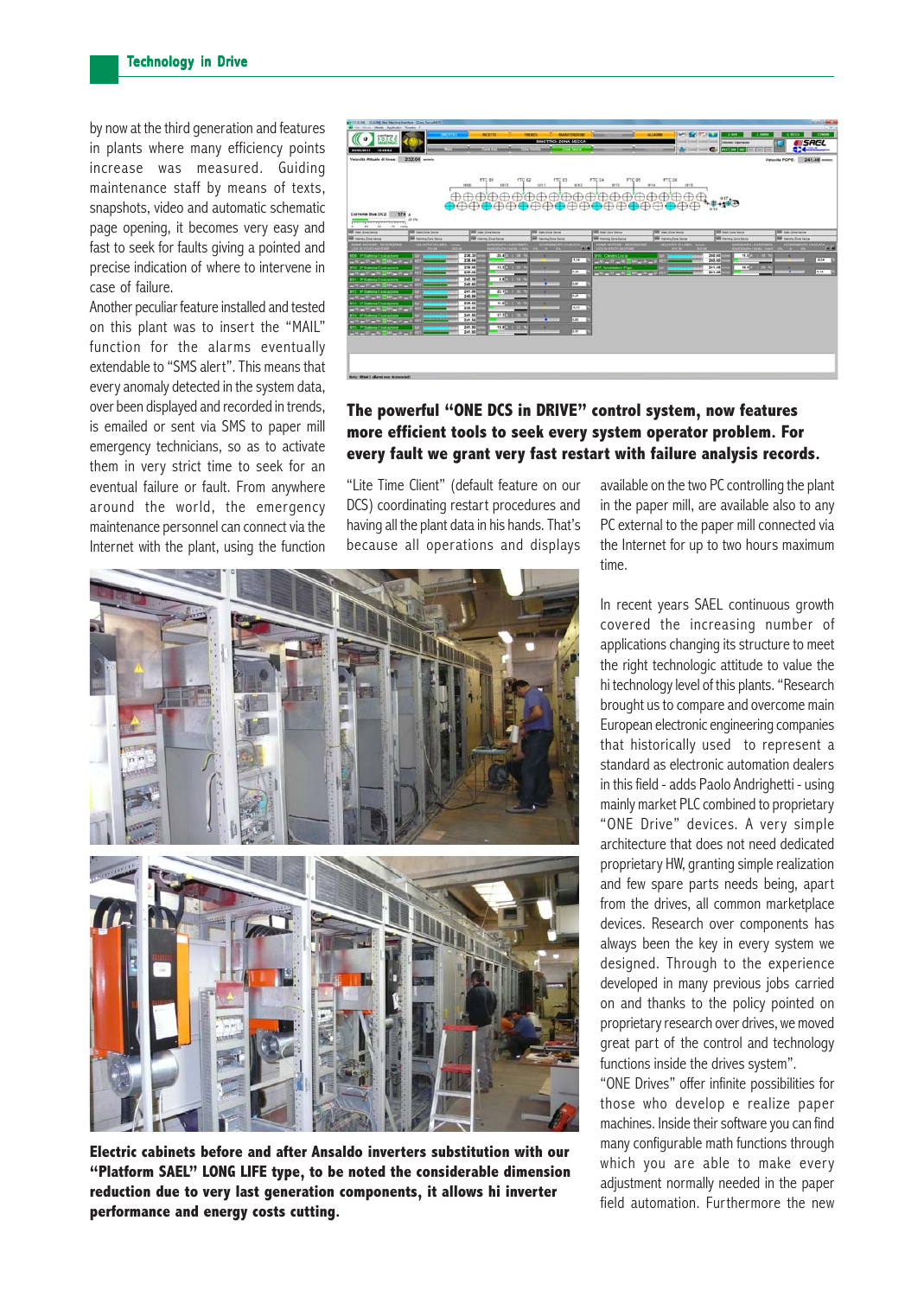by now at the third generation and features in plants where many efficiency points increase was measured. Guiding maintenance staff by means of texts, snapshots, video and automatic schematic page opening, it becomes very easy and fast to seek for faults giving a pointed and precise indication of where to intervene in case of failure.

Another peculiar feature installed and tested on this plant was to insert the "MAIL" function for the alarms eventually extendable to "SMS alert". This means that every anomaly detected in the system data, over been displayed and recorded in trends, is emailed or sent via SMS to paper mill emergency technicians, so as to activate them in very strict time to seek for an eventual failure or fault. From anywhere around the world, the emergency maintenance personnel can connect via the Internet with the plant, using the function



## **The powerful "ONE DCS in DRIVE" control system, now features more efficient tools to seek every system operator problem. For every fault we grant very fast restart with failure analysis records.**

"Lite Time Client" (default feature on our DCS) coordinating restart procedures and having all the plant data in his hands. That's because all operations and displays

available on the two PC controlling the plant in the paper mill, are available also to any PC external to the paper mill connected via the Internet for up to two hours maximum time.

In recent years SAEL continuous growth covered the increasing number of applications changing its structure to meet the right technologic attitude to value the hi technology level of this plants. "Research brought us to compare and overcome main European electronic engineering companies that historically used to represent a standard as electronic automation dealers in this field - adds Paolo Andrighetti - using mainly market PLC combined to proprietary "ONE Drive" devices. A very simple architecture that does not need dedicated proprietary HW, granting simple realization and few spare parts needs being, apart from the drives, all common marketplace devices. Research over components has always been the key in every system we designed. Through to the experience developed in many previous jobs carried on and thanks to the policy pointed on proprietary research over drives, we moved great part of the control and technology functions inside the drives system".

"ONE Drives" offer infinite possibilities for those who develop e realize paper machines. Inside their software you can find many configurable math functions through which you are able to make every adjustment normally needed in the paper field automation. Furthermore the new



**Electric cabinets before and after Ansaldo inverters substitution with our "Platform SAEL" LONG LIFE type, to be noted the considerable dimension reduction due to very last generation components, it allows hi inverter performance and energy costs cutting.**